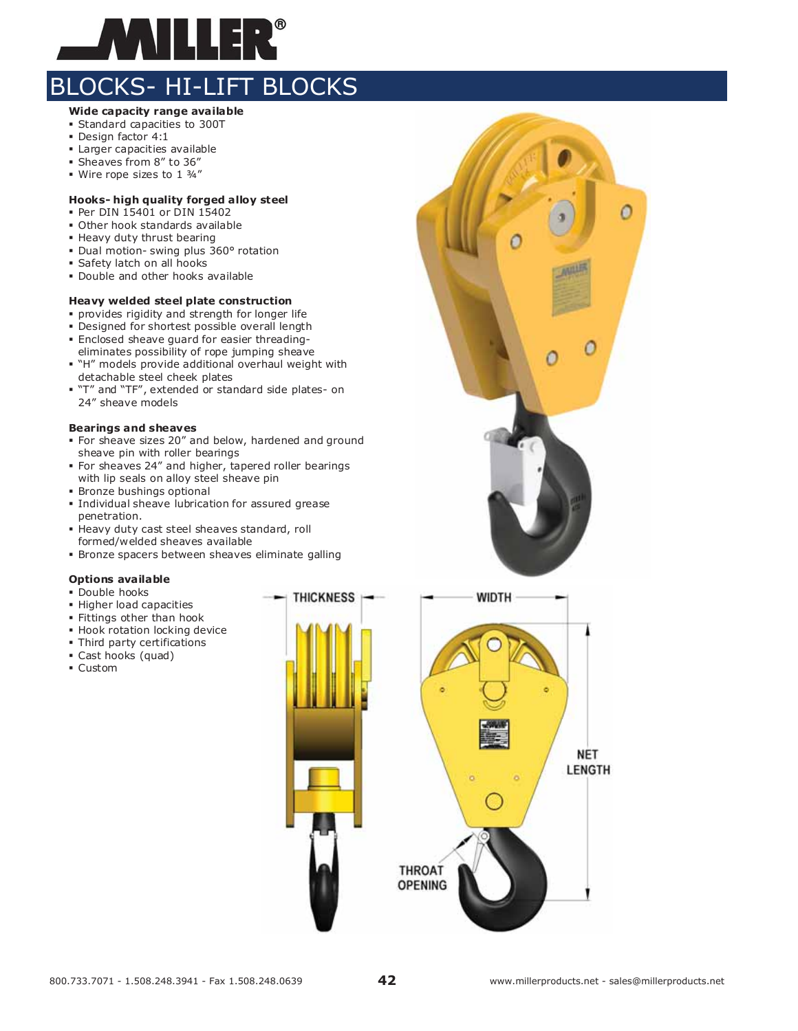

#### **Wide capacity range available**

- Standard capacities to 300T
- Design factor 4:1
- Larger capacities available
- Sheaves from 8" to 36"
- Wire rope sizes to 1 3/4"

### **Hooks- high quality forged alloy steel**

- Per DIN 15401 or DIN 15402
- Other hook standards available
- **Heavy duty thrust bearing**
- Dual motion- swing plus 360° rotation
- Safety latch on all hooks
- Double and other hooks available

#### **Heavy welded steel plate construction**

- provides rigidity and strength for longer life
- Designed for shortest possible overall length
- Enclosed sheave guard for easier threadingeliminates possibility of rope jumping sheave
- "H" models provide additional overhaul weight with detachable steel cheek plates
- "T" and "TF", extended or standard side plates- on 24" sheave models

#### **Bearings and sheaves**

- For sheave sizes 20" and below, hardened and ground sheave pin with roller bearings
- For sheaves 24" and higher, tapered roller bearings with lip seals on alloy steel sheave pin
- Bronze bushings optional
- Individual sheave lubrication for assured grease penetration.
- Heavy duty cast steel sheaves standard, roll formed/welded sheaves available
- Bronze spacers between sheaves eliminate galling

**THICKNESS** 

#### **Options available**

- **Double hooks**
- Higher load capacities
- Fittings other than hook
- **Hook rotation locking device**
- Third party certifications
- Cast hooks (quad)
- Custom

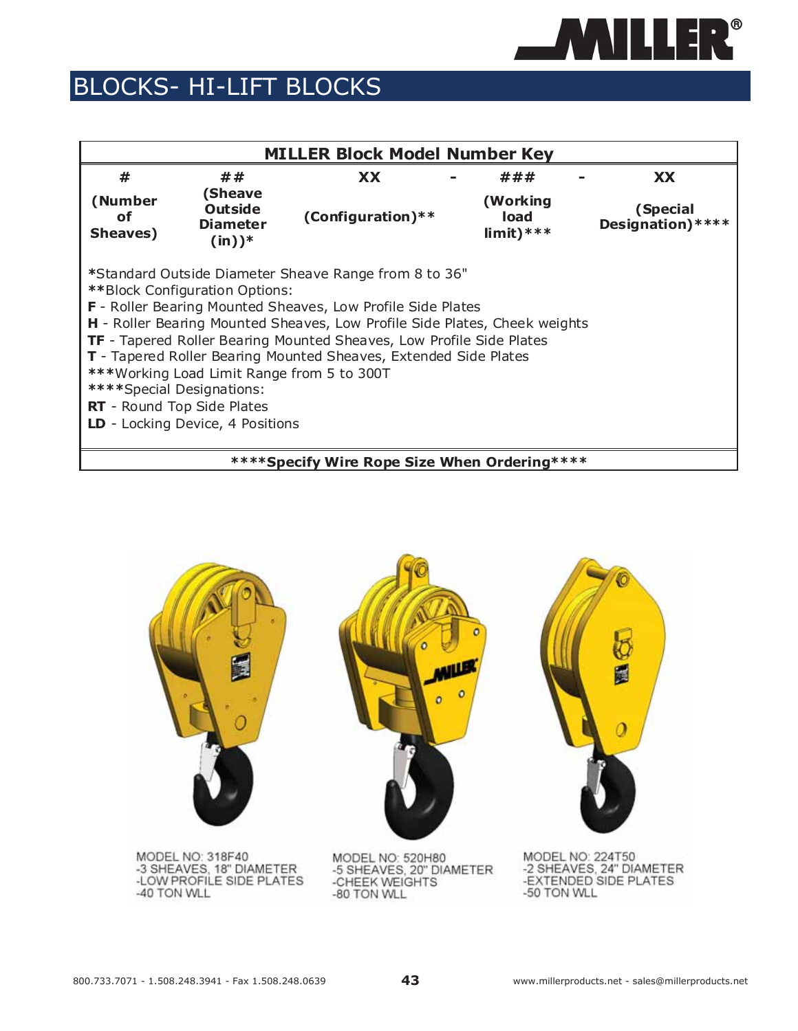

|                            |                                                                                                                                                               | <b>MILLER Block Model Number Key</b>                                                                                                                                                                                                                                                                                                                  |                                  |                               |
|----------------------------|---------------------------------------------------------------------------------------------------------------------------------------------------------------|-------------------------------------------------------------------------------------------------------------------------------------------------------------------------------------------------------------------------------------------------------------------------------------------------------------------------------------------------------|----------------------------------|-------------------------------|
| #                          | ##                                                                                                                                                            | <b>XX</b>                                                                                                                                                                                                                                                                                                                                             | ###                              | <b>XX</b>                     |
| (Number<br>οf<br>Sheaves)  | (Sheave<br><b>Outside</b><br><b>Diameter</b><br>$(in))^*$                                                                                                     | (Configuration) **                                                                                                                                                                                                                                                                                                                                    | (Working<br>load<br>$limit)****$ | (Special<br>Designation) **** |
| **** Special Designations: | **Block Configuration Options:<br>*** Working Load Limit Range from 5 to 300T<br><b>RT</b> - Round Top Side Plates<br><b>LD</b> - Locking Device, 4 Positions | *Standard Outside Diameter Sheave Range from 8 to 36"<br>F - Roller Bearing Mounted Sheaves, Low Profile Side Plates<br>H - Roller Bearing Mounted Sheaves, Low Profile Side Plates, Cheek weights<br><b>TF</b> - Tapered Roller Bearing Mounted Sheaves, Low Profile Side Plates<br>T - Tapered Roller Bearing Mounted Sheaves, Extended Side Plates |                                  |                               |
|                            |                                                                                                                                                               | **** Specify Wire Rope Size When Ordering ****                                                                                                                                                                                                                                                                                                        |                                  |                               |



-LOW PROFILE SIDE PLATES -40 TON WLL

MODEL NO: 520H80<br>-5 SHEAVES, 20" DIAMETER<br>-CHEEK WEIGHTS -80 TON WLL

MODEL NO: 224T50<br>-2 SHEAVES, 24" DIAMETER<br>-EXTENDED SIDE PLATES -50 TON WLL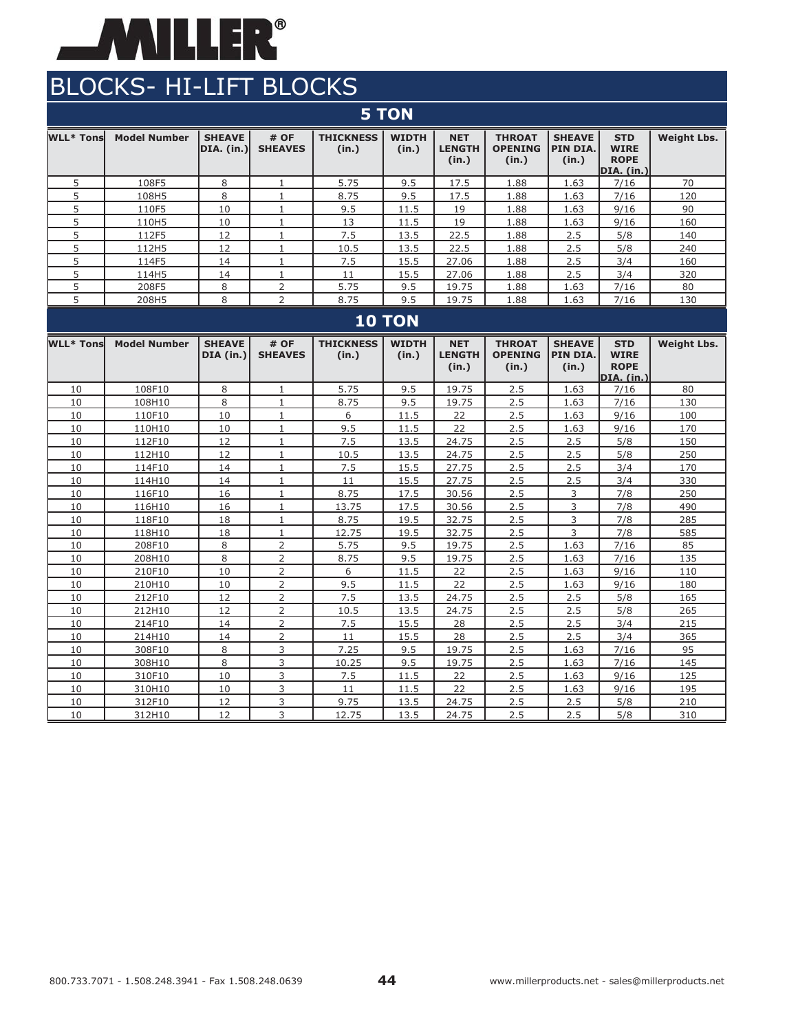

|                  | <b>5 TON</b>        |                             |                              |                           |                       |                                      |                                          |                                    |                                                               |                    |  |  |  |
|------------------|---------------------|-----------------------------|------------------------------|---------------------------|-----------------------|--------------------------------------|------------------------------------------|------------------------------------|---------------------------------------------------------------|--------------------|--|--|--|
| <b>WLL* Tons</b> | <b>Model Number</b> | <b>SHEAVE</b><br>DIA. (in.) | # OF<br><b>SHEAVES</b>       | <b>THICKNESS</b><br>(in.) | <b>WIDTH</b><br>(in.) | <b>NET</b><br><b>LENGTH</b><br>(in.) | <b>THROAT</b><br><b>OPENING</b><br>(in.) | <b>SHEAVE</b><br>PIN DIA.<br>(in.) | <b>STD</b><br><b>WIRE</b><br><b>ROPE</b><br><b>DIA.</b> (in.) | <b>Weight Lbs.</b> |  |  |  |
| 5                | 108F5               | 8                           | $\mathbf{1}$                 | 5.75                      | 9.5                   | 17.5                                 | 1.88                                     | 1.63                               | 7/16                                                          | 70                 |  |  |  |
| 5                | 108H5               | 8                           | $\mathbf{1}$                 | 8.75                      | 9.5                   | 17.5                                 | 1.88                                     | 1.63                               | 7/16                                                          | 120                |  |  |  |
| 5                | 110F5               | 10                          | $\mathbf{1}$                 | 9.5                       | 11.5                  | 19                                   | 1.88                                     | 1.63                               | 9/16                                                          | 90                 |  |  |  |
| 5                | 110H5               | 10                          | $\mathbf{1}$                 | 13                        | 11.5                  | 19                                   | 1.88                                     | 1.63                               | 9/16                                                          | 160                |  |  |  |
| 5                | 112F5               | 12                          | $\mathbf{1}$                 | 7.5                       | 13.5                  | 22.5                                 | 1.88                                     | 2.5                                | 5/8                                                           | 140                |  |  |  |
| 5                | 112H5               | 12                          | $\mathbf{1}$                 | 10.5                      | 13.5                  | 22.5                                 | 1.88                                     | 2.5                                | 5/8                                                           | 240                |  |  |  |
| 5                | 114F5               | 14                          | $\mathbf{1}$                 | 7.5                       | 15.5                  | 27.06                                | 1.88                                     | 2.5                                | 3/4                                                           | 160                |  |  |  |
| 5                | 114H5               | 14                          | $\mathbf{1}$                 | 11                        | 15.5                  | 27.06                                | 1.88                                     | 2.5                                | 3/4                                                           | 320                |  |  |  |
| 5                | 208F5               | 8                           | $\overline{2}$               | 5.75                      | 9.5                   | 19.75                                | 1.88                                     | 1.63                               | 7/16                                                          | 80                 |  |  |  |
| 5                | 208H5               | 8                           | $\overline{2}$               | 8.75                      | 9.5                   | 19.75                                | 1.88                                     | 1.63                               | 7/16                                                          | 130                |  |  |  |
|                  |                     |                             |                              |                           | <b>10 TON</b>         |                                      |                                          |                                    |                                                               |                    |  |  |  |
| <b>WLL* Tons</b> | <b>Model Number</b> | <b>SHEAVE</b><br>DIA (in.)  | # OF<br><b>SHEAVES</b>       | <b>THICKNESS</b><br>(in.) | <b>WIDTH</b><br>(in.) | <b>NET</b><br><b>LENGTH</b><br>(in.) | <b>THROAT</b><br><b>OPENING</b><br>(in.) | <b>SHEAVE</b><br>PIN DIA.<br>(in.) | <b>STD</b><br><b>WIRE</b><br><b>ROPE</b><br>DIA. (in.)        | <b>Weight Lbs.</b> |  |  |  |
| 10               | 108F10              | 8                           | $\mathbf{1}$                 | 5.75                      | 9.5                   | 19.75                                | 2.5                                      | 1.63                               | 7/16                                                          | 80                 |  |  |  |
| 10               | 108H10              | 8                           | $\mathbf{1}$                 | 8.75                      | 9.5                   | 19.75                                | 2.5                                      | 1.63                               | 7/16                                                          | 130                |  |  |  |
| 10               | 110F10              | 10                          | $\mathbf{1}$                 | 6                         | 11.5                  | 22                                   | 2.5                                      | 1.63                               | 9/16                                                          | 100                |  |  |  |
| 10               | 110H10              | 10                          | $\mathbf{1}$                 | 9.5                       | 11.5                  | 22                                   | 2.5                                      | 1.63                               | 9/16                                                          | 170                |  |  |  |
| 10               | 112F10              | 12                          | $\mathbf{1}$                 | 7.5                       | 13.5                  | 24.75                                | 2.5                                      | 2.5                                | 5/8                                                           | 150                |  |  |  |
| 10               | 112H10              | 12                          | $\mathbf{1}$                 | 10.5                      | 13.5                  | 24.75                                | 2.5                                      | 2.5                                | 5/8                                                           | 250                |  |  |  |
| 10               | 114F10              | 14                          | $\mathbf{1}$                 | 7.5                       | 15.5                  | 27.75                                | 2.5                                      | 2.5                                | 3/4                                                           | 170                |  |  |  |
| 10               | 114H10              | 14                          | $1\,$                        | 11                        | 15.5                  | 27.75                                | 2.5                                      | 2.5                                | 3/4                                                           | 330                |  |  |  |
| 10<br>10         | 116F10              | 16<br>16                    | $\mathbf{1}$<br>$\mathbf{1}$ | 8.75<br>13.75             | 17.5<br>17.5          | 30.56                                | 2.5<br>2.5                               | 3<br>3                             | 7/8<br>7/8                                                    | 250<br>490         |  |  |  |
| 10               | 116H10<br>118F10    | 18                          | $\mathbf{1}$                 | 8.75                      | 19.5                  | 30.56<br>32.75                       | 2.5                                      | 3                                  | 7/8                                                           | 285                |  |  |  |
| 10               | 118H10              | 18                          | $\mathbf{1}$                 | 12.75                     | 19.5                  | 32.75                                | 2.5                                      | 3                                  | 7/8                                                           | 585                |  |  |  |
| 10               | 208F10              | 8                           | $\overline{2}$               | 5.75                      | 9.5                   | 19.75                                | 2.5                                      | 1.63                               | 7/16                                                          | 85                 |  |  |  |
| 10               | 208H10              | 8                           | $\overline{2}$               | 8.75                      | 9.5                   | 19.75                                | 2.5                                      | 1.63                               | 7/16                                                          | 135                |  |  |  |
| 10               | 210F10              | 10                          | 2                            | 6                         | 11.5                  | 22                                   | 2.5                                      | 1.63                               | 9/16                                                          | 110                |  |  |  |
| 10               | 210H10              | 10                          | $\overline{2}$               | 9.5                       | 11.5                  | 22                                   | 2.5                                      | 1.63                               | 9/16                                                          | 180                |  |  |  |
| 10               | 212F10              | 12                          | 2                            | 7.5                       | 13.5                  | 24.75                                | 2.5                                      | 2.5                                | 5/8                                                           | 165                |  |  |  |
| 10               | 212H10              | 12                          | 2                            | 10.5                      | 13.5                  | 24.75                                | 2.5                                      | 2.5                                | 5/8                                                           | 265                |  |  |  |
| 10               | 214F10              | 14                          | $\overline{2}$               | 7.5                       | 15.5                  | 28                                   | 2.5                                      | 2.5                                | 3/4                                                           | 215                |  |  |  |
| 10               | 214H10              | 14                          | 2                            | 11                        | 15.5                  | 28                                   | 2.5                                      | 2.5                                | 3/4                                                           | 365                |  |  |  |
| 10               | 308F10              | 8                           | 3                            | 7.25                      | 9.5                   | 19.75                                | 2.5                                      | 1.63                               | 7/16                                                          | 95                 |  |  |  |
| 10               | 308H10              | 8                           | 3                            | 10.25                     | 9.5                   | 19.75                                | 2.5                                      | 1.63                               | 7/16                                                          | 145                |  |  |  |
| 10               | 310F10              | 10                          | 3                            | 7.5                       | 11.5                  | 22                                   | 2.5                                      | 1.63                               | 9/16                                                          | 125                |  |  |  |
| 10               | 310H10              | 10                          | 3                            | 11                        | 11.5                  | 22                                   | 2.5                                      | 1.63                               | 9/16                                                          | 195                |  |  |  |
| 10               | 312F10              | 12                          | 3                            | 9.75                      | 13.5                  | 24.75                                | 2.5                                      | 2.5                                | 5/8                                                           | 210                |  |  |  |
| 10               | 312H10              | 12                          | 3                            | 12.75                     | 13.5                  | 24.75                                | 2.5                                      | 2.5                                | 5/8                                                           | 310                |  |  |  |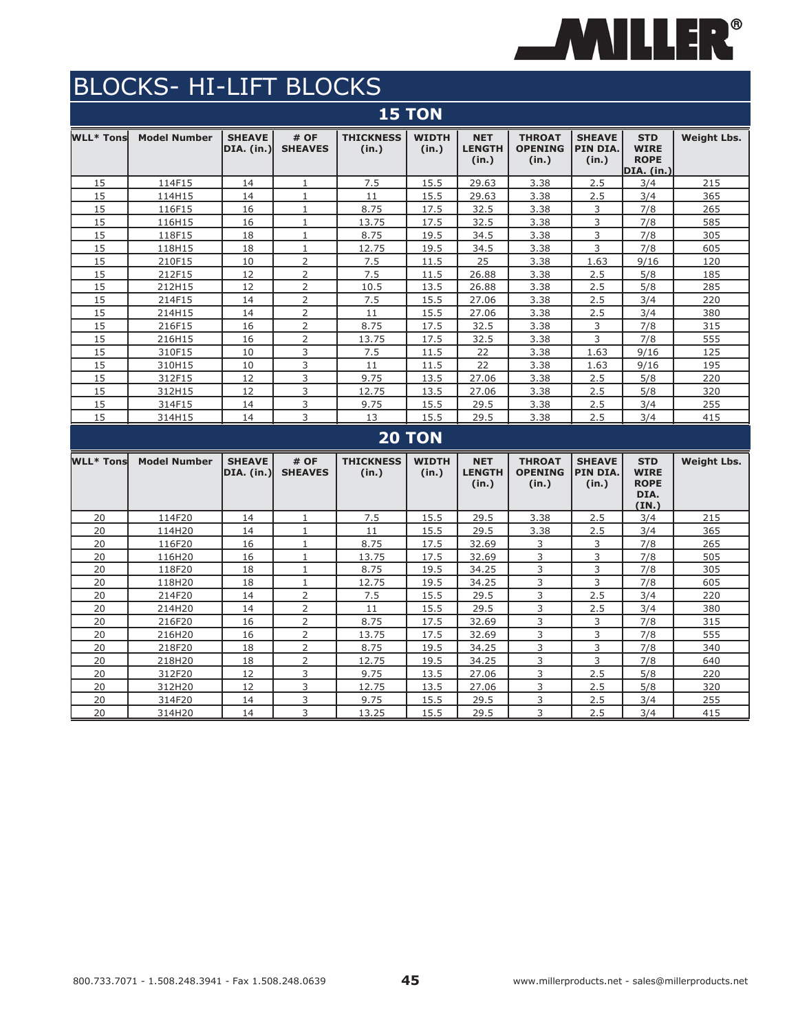

| <b>15 TON</b>    |                     |                                    |                        |                           |                       |                                      |                                          |                                    |                                                               |                    |  |  |  |
|------------------|---------------------|------------------------------------|------------------------|---------------------------|-----------------------|--------------------------------------|------------------------------------------|------------------------------------|---------------------------------------------------------------|--------------------|--|--|--|
| <b>WLL* Tons</b> | <b>Model Number</b> | <b>SHEAVE</b><br>DIA. (in.)        | # OF<br><b>SHEAVES</b> | <b>THICKNESS</b><br>(in.) | <b>WIDTH</b><br>(in.) | <b>NET</b><br><b>LENGTH</b><br>(in.) | <b>THROAT</b><br><b>OPENING</b><br>(in.) | <b>SHEAVE</b><br>PIN DIA.<br>(in.) | <b>STD</b><br><b>WIRE</b><br><b>ROPE</b><br><b>DIA.</b> (in.) | <b>Weight Lbs.</b> |  |  |  |
| 15               | 114F15              | 14                                 | $\mathbf{1}$           | 7.5                       | 15.5                  | 29.63                                | 3.38                                     | 2.5                                | 3/4                                                           | 215                |  |  |  |
| 15               | 114H15              | 14                                 | $\mathbf{1}$           | 11                        | 15.5                  | 29.63                                | 3.38                                     | 2.5                                | 3/4                                                           | 365                |  |  |  |
| 15               | 116F15              | 16                                 | $\mathbf 1$            | 8.75                      | 17.5                  | 32.5                                 | 3.38                                     | 3                                  | 7/8                                                           | 265                |  |  |  |
| 15               | 116H15              | 16                                 | 1                      | 13.75                     | 17.5                  | 32.5                                 | 3.38                                     | 3                                  | 7/8                                                           | 585                |  |  |  |
| 15               | 118F15              | 18                                 | $1\,$                  | 8.75                      | 19.5                  | 34.5                                 | 3.38                                     | 3                                  | 7/8                                                           | 305                |  |  |  |
| 15               | 118H15              | 18                                 | $\mathbf{1}$           | 12.75                     | 19.5                  | 34.5                                 | 3.38                                     | 3                                  | 7/8                                                           | 605                |  |  |  |
| 15               | 210F15              | 10                                 | 2                      | 7.5                       | 11.5                  | 25                                   | 3.38                                     | 1.63                               | 9/16                                                          | 120                |  |  |  |
| 15               | 212F15              | 12                                 | $\overline{2}$         | 7.5                       | 11.5                  | 26.88                                | 3.38                                     | 2.5                                | 5/8                                                           | 185                |  |  |  |
| 15               | 212H15              | 12                                 | $\overline{2}$         | 10.5                      | 13.5                  | 26.88                                | 3.38                                     | 2.5                                | 5/8                                                           | 285                |  |  |  |
| 15               | 214F15              | 14                                 | 2                      | 7.5                       | 15.5                  | 27.06                                | 3.38                                     | 2.5                                | 3/4                                                           | 220                |  |  |  |
| 15               | 214H15              | 14                                 | 2                      | 11                        | 15.5                  | 27.06                                | 3.38                                     | 2.5                                | 3/4                                                           | 380                |  |  |  |
| 15               | 216F15              | 16                                 | $\overline{2}$         | 8.75                      | 17.5                  | 32.5                                 | 3.38                                     | 3                                  | 7/8                                                           | 315                |  |  |  |
| 15               | 216H15              | 16                                 | $\overline{2}$         | 13.75                     | 17.5                  | 32.5                                 | 3.38                                     | 3                                  | 7/8                                                           | 555                |  |  |  |
| 15               | 310F15              | 10                                 | 3                      | 7.5                       | 11.5                  | 22                                   | 3.38                                     | 1.63                               | 9/16                                                          | 125                |  |  |  |
| 15               | 310H15              | 10                                 | 3                      | 11                        | 11.5                  | 22                                   | 3.38                                     | 1.63                               | 9/16                                                          | 195                |  |  |  |
| 15               | 312F15              | 12                                 | 3                      | 9.75                      | 13.5                  | 27.06                                | 3.38                                     | 2.5                                | 5/8                                                           | 220                |  |  |  |
| 15               | 312H15              | 12                                 | 3                      | 12.75                     | 13.5                  | 27.06                                | 3.38                                     | 2.5                                | 5/8                                                           | 320                |  |  |  |
| 15               | 314F15              | 14                                 | 3                      | 9.75                      | 15.5                  | 29.5                                 | 3.38                                     | 2.5                                | 3/4                                                           | 255                |  |  |  |
| 15               | 314H15              | 14                                 | 3                      | 13                        | 15.5                  | 29.5                                 | 3.38                                     | 2.5                                | 3/4                                                           | 415                |  |  |  |
|                  |                     |                                    |                        |                           | <b>20 TON</b>         |                                      |                                          |                                    |                                                               |                    |  |  |  |
| <b>WLL* Tons</b> | <b>Model Number</b> | <b>SHEAVE</b><br><b>DIA.</b> (in.) | # OF<br><b>SHEAVES</b> | <b>THICKNESS</b><br>(in.) | <b>WIDTH</b><br>(in.) | <b>NET</b><br><b>LENGTH</b><br>(in.) | <b>THROAT</b><br><b>OPENING</b><br>(in.) | <b>SHEAVE</b><br>PIN DIA.<br>(in.) | <b>STD</b><br><b>WIRE</b><br><b>ROPE</b><br>DIA.<br>(IN.)     | <b>Weight Lbs.</b> |  |  |  |
| 20               | 114F20              | 14                                 | $\mathbf{1}$           | 7.5                       | 15.5                  | 29.5                                 | 3.38                                     | 2.5                                | 3/4                                                           | 215                |  |  |  |
| 20               | 114H20              | 14                                 | $\mathbf{1}$           | 11                        | 15.5                  | 29.5                                 | 3.38                                     | 2.5                                | 3/4                                                           | 365                |  |  |  |
| 20               | 116F20              | 16                                 | $1\,$                  | 8.75                      | 17.5                  | 32.69                                | 3                                        | 3                                  | 7/8                                                           | 265                |  |  |  |
| 20               | 116H20              | 16                                 | $1\,$                  | 13.75                     | 17.5                  | 32.69                                | 3                                        | $\overline{\mathbf{3}}$            | 7/8                                                           | 505                |  |  |  |
| 20               | 118F20              | 18                                 | $\mathbf{1}$           | 8.75                      | 19.5                  | 34.25                                | 3                                        | 3                                  | 7/8                                                           | 305                |  |  |  |
| 20               | 118H20              | 18                                 | $\mathbf{1}$           | 12.75                     | 19.5                  | 34.25                                | 3                                        | 3                                  | 7/8                                                           | 605                |  |  |  |
| 20               | 214F20              | 14                                 | $\overline{2}$         | 7.5                       | 15.5                  | 29.5                                 | $\overline{\mathbf{3}}$                  | 2.5                                | 3/4                                                           | 220                |  |  |  |
| 20               | 214H20              | 14                                 | $\overline{2}$         | 11                        | 15.5                  | 29.5                                 | 3                                        | 2.5                                | 3/4                                                           | 380                |  |  |  |
| 20               | 216F20              | 16                                 | $\overline{2}$         | 8.75                      | 17.5                  | 32.69                                | 3                                        | 3                                  | 7/8                                                           | 315                |  |  |  |
| 20               | 216H20              | 16                                 | $\overline{2}$         | 13.75                     | 17.5                  | 32.69                                | $\overline{\mathbf{3}}$                  | 3                                  | 7/8                                                           | 555                |  |  |  |
| 20               | 218F20              | 18                                 | 2                      | 8.75                      | 19.5                  | 34.25                                | 3                                        | 3                                  | 7/8                                                           | 340                |  |  |  |
| 20               | 218H20              | 18                                 | $\overline{2}$         | 12.75                     | 19.5                  | 34.25                                | 3                                        | 3                                  | 7/8                                                           | 640                |  |  |  |
| 20               | 312F20              | 12                                 | 3                      | 9.75                      | 13.5                  | 27.06                                | 3                                        | 2.5                                | 5/8                                                           | 220                |  |  |  |
| 20               | 312H20              | 12                                 | 3                      | 12.75                     | 13.5                  | 27.06                                | 3                                        | 2.5                                | 5/8                                                           | 320                |  |  |  |
| 20               | 314F20              | 14                                 | 3                      | 9.75                      | 15.5                  | 29.5                                 | 3                                        | 2.5                                | 3/4                                                           | 255                |  |  |  |
| 20               | 314H20              | 14                                 | 3                      | 13.25                     | 15.5                  | 29.5                                 | 3                                        | 2.5                                | 3/4                                                           | 415                |  |  |  |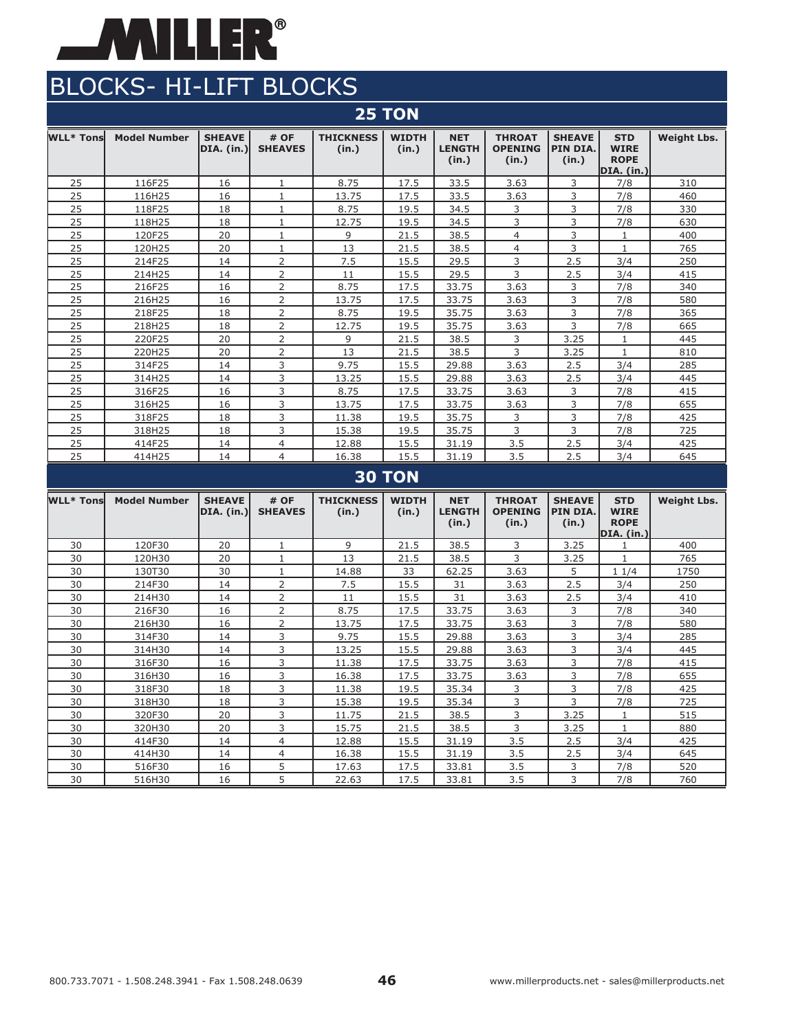

|                  | <b>25 TON</b>       |                                    |                        |                           |                       |                                      |                                          |                                    |                                                               |                    |  |  |  |
|------------------|---------------------|------------------------------------|------------------------|---------------------------|-----------------------|--------------------------------------|------------------------------------------|------------------------------------|---------------------------------------------------------------|--------------------|--|--|--|
| <b>WLL* Tons</b> | <b>Model Number</b> | <b>SHEAVE</b><br><b>DIA.</b> (in.) | # OF<br><b>SHEAVES</b> | <b>THICKNESS</b><br>(in.) | <b>WIDTH</b><br>(in.) | <b>NET</b><br><b>LENGTH</b><br>(in.) | <b>THROAT</b><br><b>OPENING</b><br>(in.) | <b>SHEAVE</b><br>PIN DIA.<br>(in.) | <b>STD</b><br><b>WIRE</b><br><b>ROPE</b><br><b>DIA.</b> (in.) | <b>Weight Lbs.</b> |  |  |  |
| 25               | 116F25              | 16                                 | $\mathbf{1}$           | 8.75                      | 17.5                  | 33.5                                 | 3.63                                     | 3                                  | 7/8                                                           | 310                |  |  |  |
| 25               | 116H25              | 16                                 | $\mathbf{1}$           | 13.75                     | 17.5                  | 33.5                                 | 3.63                                     | 3                                  | 7/8                                                           | 460                |  |  |  |
| 25               | 118F25              | 18                                 | $\mathbf{1}$           | 8.75                      | 19.5                  | 34.5                                 | 3                                        | 3                                  | 7/8                                                           | 330                |  |  |  |
| 25               | 118H25              | 18                                 | $1\,$                  | 12.75                     | 19.5                  | 34.5                                 | 3                                        | 3                                  | 7/8                                                           | 630                |  |  |  |
| 25               | 120F25              | 20                                 | $\mathbf{1}$           | 9                         | 21.5                  | 38.5                                 | $\overline{4}$                           | 3                                  | 1                                                             | 400                |  |  |  |
| 25               | 120H25              | 20                                 | $\mathbf{1}$           | 13                        | 21.5                  | 38.5                                 | $\overline{4}$                           | 3                                  | $\mathbf{1}$                                                  | 765                |  |  |  |
| 25               | 214F25              | 14                                 | $\overline{2}$         | 7.5                       | 15.5                  | 29.5                                 | 3                                        | 2.5                                | 3/4                                                           | 250                |  |  |  |
| 25               | 214H25              | 14                                 | 2                      | 11                        | 15.5                  | 29.5                                 | 3                                        | 2.5                                | 3/4                                                           | 415                |  |  |  |
| 25               | 216F25              | 16                                 | $\overline{2}$         | 8.75                      | 17.5                  | 33.75                                | 3.63                                     | 3                                  | 7/8                                                           | 340                |  |  |  |
| 25               | 216H25              | 16                                 | 2                      | 13.75                     | 17.5                  | 33.75                                | 3.63                                     | 3                                  | 7/8                                                           | 580                |  |  |  |
| 25               | 218F25              | 18                                 | $\overline{2}$         | 8.75                      | 19.5                  | 35.75                                | 3.63                                     | 3                                  | 7/8                                                           | 365                |  |  |  |
| 25               | 218H25              | 18                                 | $\overline{2}$         | 12.75                     | 19.5                  | 35.75                                | 3.63                                     | 3                                  | 7/8                                                           | 665                |  |  |  |
| 25               | 220F25              | 20                                 | 2                      | 9                         | 21.5                  | 38.5                                 | 3                                        | 3.25                               | $\mathbf{1}$                                                  | 445                |  |  |  |
| 25               | 220H25              | 20                                 | 2                      | 13                        | 21.5                  | 38.5                                 | 3                                        | 3.25                               | 1                                                             | 810                |  |  |  |
| 25               | 314F25              | 14                                 | 3                      | 9.75                      | 15.5                  | 29.88                                | 3.63                                     | 2.5                                | 3/4                                                           | 285                |  |  |  |
| 25               | 314H25              | 14                                 | 3                      | 13.25                     | 15.5                  | 29.88                                | 3.63                                     | 2.5                                | 3/4                                                           | 445                |  |  |  |
| 25               | 316F25              | 16                                 | 3                      | 8.75                      | 17.5                  | 33.75                                | 3.63                                     | 3                                  | 7/8                                                           | 415                |  |  |  |
| 25               | 316H25              | 16                                 | 3                      | 13.75                     | 17.5                  | 33.75                                | 3.63                                     | 3                                  | 7/8                                                           | 655                |  |  |  |
| 25               | 318F25              | 18                                 | 3                      | 11.38                     | 19.5                  | 35.75                                | 3                                        | 3                                  | 7/8                                                           | 425                |  |  |  |
| 25               | 318H25              | 18                                 | 3                      | 15.38                     | 19.5                  | 35.75                                | 3                                        | 3                                  | 7/8                                                           | 725                |  |  |  |
| 25               | 414F25              | 14                                 | $\overline{4}$         | 12.88                     | 15.5                  | 31.19                                | 3.5                                      | 2.5                                | 3/4                                                           | 425                |  |  |  |
| 25               | 414H25              | 14                                 | $\overline{4}$         | 16.38                     | 15.5                  | 31.19                                | 3.5                                      | 2.5                                | 3/4                                                           | 645                |  |  |  |
|                  |                     |                                    |                        |                           | <b>30 TON</b>         |                                      |                                          |                                    |                                                               |                    |  |  |  |
| <b>WLL* Tons</b> | <b>Model Number</b> | <b>SHEAVE</b>                      | # OF                   | <b>THICKNESS</b>          | <b>WIDTH</b>          | <b>NET</b>                           | <b>THROAT</b>                            | <b>SHEAVE</b>                      | <b>STD</b>                                                    | <b>Weight Lbs.</b> |  |  |  |
|                  |                     | <b>DIA.</b> (in.)                  | <b>SHEAVES</b>         | (in.)                     | (in.)                 | <b>LENGTH</b><br>(in.)               | <b>OPENING</b><br>(in.)                  | PIN DIA.<br>(in.)                  | <b>WIRE</b><br><b>ROPE</b><br>DIA. (in.)                      |                    |  |  |  |
| 30               | 120F30              | 20                                 | $\mathbf{1}$           | 9                         | 21.5                  | 38.5                                 | 3                                        | 3.25                               | $\mathbf{1}$                                                  | 400                |  |  |  |
| 30               | 120H30              | 20                                 | $\mathbf{1}$           | 13                        | 21.5                  | 38.5                                 | 3                                        | 3.25                               | $\mathbf{1}$                                                  | 765                |  |  |  |
| 30               | 130T30              | 30                                 | $\mathbf{1}$           | 14.88                     | 33                    | 62.25                                | 3.63                                     | 5                                  | 11/4                                                          | 1750               |  |  |  |
| 30               | 214F30              | 14                                 | $\overline{2}$         | 7.5                       | 15.5                  | 31                                   | 3.63                                     | 2.5                                | 3/4                                                           | 250                |  |  |  |
| 30               | 214H30              | 14                                 | $\overline{2}$         | 11                        | 15.5                  | 31                                   | 3.63                                     | 2.5                                | 3/4                                                           | 410                |  |  |  |
| 30               | 216F30              | 16                                 | $\overline{2}$         | 8.75                      | 17.5                  | 33.75                                | 3.63                                     | 3                                  | 7/8                                                           | 340                |  |  |  |
| 30               | 216H30              | 16                                 | 2                      | 13.75                     | 17.5                  | 33.75                                | 3.63                                     | 3                                  | 7/8                                                           | 580                |  |  |  |
| 30               | 314F30              | 14                                 | 3                      | 9.75                      | 15.5                  | 29.88                                | 3.63                                     | 3                                  | 3/4                                                           | 285                |  |  |  |
| 30               | 314H30              | 14                                 | 3                      | 13.25                     | 15.5                  | 29.88                                | 3.63                                     | 3                                  | 3/4                                                           | 445                |  |  |  |
| 30               | 316F30              | 16                                 | 3                      | 11.38                     | 17.5                  | 33.75                                | 3.63                                     | 3                                  | 7/8                                                           | 415                |  |  |  |
| 30               | 316H30              | 16                                 | 3                      | 16.38                     | 17.5                  | 33.75                                | 3.63                                     | 3                                  | 7/8                                                           | 655                |  |  |  |
| 30               | 318F30              | 18                                 | 3                      | 11.38                     | 19.5                  | 35.34                                | 3                                        | 3                                  | 7/8                                                           | 425                |  |  |  |
| 30               | 318H30              | 18                                 | 3                      | 15.38                     | 19.5                  | 35.34                                | 3                                        | 3                                  | 7/8                                                           | 725                |  |  |  |
| 30               | 320F30              | 20                                 | 3                      | 11.75                     | 21.5                  | 38.5                                 | 3                                        | 3.25                               | 1                                                             | 515                |  |  |  |
| 30               | 320H30              | 20                                 | 3                      | 15.75                     | 21.5                  | 38.5                                 | 3                                        | 3.25                               | $\mathbf{1}$                                                  | 880                |  |  |  |
| 30               | 414F30              | 14                                 | $\overline{4}$         | 12.88                     | 15.5                  | 31.19                                | 3.5                                      | 2.5                                | 3/4                                                           | 425                |  |  |  |
| 30               | 414H30              | 14                                 | $\overline{4}$         | 16.38                     | 15.5                  | 31.19                                | 3.5                                      | 2.5                                | 3/4                                                           | 645                |  |  |  |
| 30               | 516F30              | 16                                 | 5                      | 17.63                     | 17.5                  | 33.81                                | 3.5                                      | 3                                  | 7/8                                                           | 520                |  |  |  |
| 30               | 516H30              | 16                                 | 5                      | 22.63                     | 17.5                  | 33.81                                | 3.5                                      | 3                                  | 7/8                                                           | 760                |  |  |  |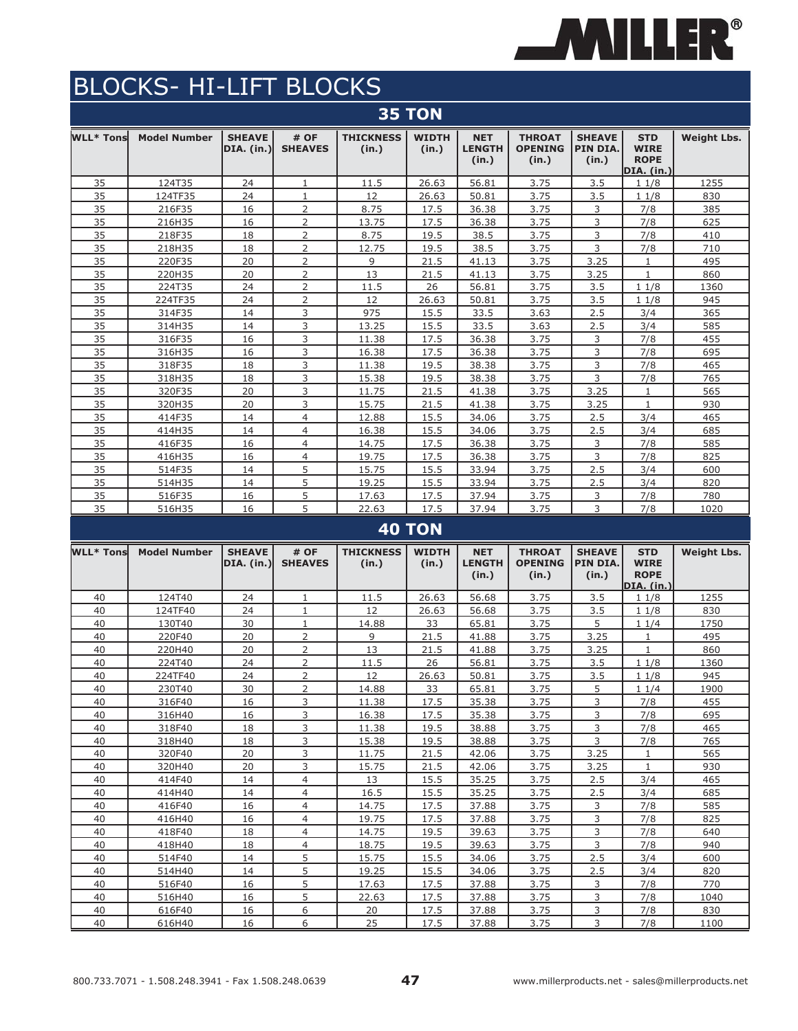

|                  | <b>35 TON</b>       |                             |                        |                           |                       |                                      |                                          |                                    |                                                        |                    |  |  |  |  |
|------------------|---------------------|-----------------------------|------------------------|---------------------------|-----------------------|--------------------------------------|------------------------------------------|------------------------------------|--------------------------------------------------------|--------------------|--|--|--|--|
| <b>WLL* Tons</b> | <b>Model Number</b> | <b>SHEAVE</b><br>DIA. (in.) | # OF<br><b>SHEAVES</b> | <b>THICKNESS</b><br>(in.) | <b>WIDTH</b><br>(in.) | <b>NET</b><br><b>LENGTH</b><br>(in.) | <b>THROAT</b><br><b>OPENING</b><br>(in.) | <b>SHEAVE</b><br>PIN DIA.<br>(in.) | <b>STD</b><br><b>WIRE</b><br><b>ROPE</b><br>DIA. (in.) | <b>Weight Lbs.</b> |  |  |  |  |
| 35               | 124T35              | 24                          | 1                      | 11.5                      | 26.63                 | 56.81                                | 3.75                                     | 3.5                                | 11/8                                                   | 1255               |  |  |  |  |
| 35               | 124TF35             | 24                          | $\mathbf{1}$           | 12                        | 26.63                 | 50.81                                | 3.75                                     | 3.5                                | 11/8                                                   | 830                |  |  |  |  |
| 35               | 216F35              | 16                          | $\overline{2}$         | 8.75                      | 17.5                  | 36.38                                | 3.75                                     | 3                                  | 7/8                                                    | 385                |  |  |  |  |
| 35               | 216H35              | 16                          | $\overline{2}$         | 13.75                     | 17.5                  | 36.38                                | 3.75                                     | 3                                  | 7/8                                                    | 625                |  |  |  |  |
| 35               | 218F35              | 18                          | $\overline{2}$         | 8.75                      | 19.5                  | 38.5                                 | 3.75                                     | 3                                  | 7/8                                                    | 410                |  |  |  |  |
| 35               | 218H35              | 18                          | $\overline{2}$         | 12.75                     | 19.5                  | 38.5                                 | 3.75                                     | 3                                  | 7/8                                                    | 710                |  |  |  |  |
| 35               | 220F35              | 20                          | 2                      | 9                         | 21.5                  | 41.13                                | 3.75                                     | 3.25                               | 1                                                      | 495                |  |  |  |  |
| 35               | 220H35              | 20                          | $\overline{2}$         | 13                        | 21.5                  | 41.13                                | 3.75                                     | 3.25                               | $\mathbf{1}$                                           | 860                |  |  |  |  |
| 35               | 224T35              | 24                          | $\overline{2}$         | 11.5                      | 26                    | 56.81                                | 3.75                                     | 3.5                                | 11/8                                                   | 1360               |  |  |  |  |
| 35               | 224TF35             | 24                          | 2                      | 12                        | 26.63                 | 50.81                                | 3.75                                     | 3.5                                | 11/8                                                   | 945                |  |  |  |  |
| 35               | 314F35              | 14                          | 3                      | 975                       | 15.5                  | 33.5                                 | 3.63                                     | 2.5                                | 3/4                                                    | 365                |  |  |  |  |
| 35               | 314H35              | 14                          | 3                      | 13.25                     | 15.5                  | 33.5                                 | 3.63                                     | 2.5                                | 3/4                                                    | 585                |  |  |  |  |
| 35               | 316F35              | 16                          | 3                      | 11.38                     | 17.5                  | 36.38                                | 3.75                                     | 3                                  | 7/8                                                    | 455                |  |  |  |  |
| 35               | 316H35              | 16                          | 3                      | 16.38                     | 17.5                  | 36.38                                | 3.75                                     | 3                                  | 7/8                                                    | 695                |  |  |  |  |
| 35               | 318F35              | 18                          | 3                      | 11.38                     | 19.5                  | 38.38                                | 3.75                                     | 3                                  | 7/8                                                    | 465                |  |  |  |  |
| 35               | 318H35              | 18                          | 3                      | 15.38                     | 19.5                  | 38.38                                | 3.75                                     | 3                                  | 7/8                                                    | 765                |  |  |  |  |
| 35               | 320F35              | 20                          | 3                      | 11.75                     | 21.5                  | 41.38                                | 3.75                                     | 3.25                               | $\mathbf{1}$                                           | 565                |  |  |  |  |
| 35               | 320H35              | 20                          | 3                      | 15.75                     | 21.5                  | 41.38                                | 3.75                                     | 3.25                               | $\mathbf{1}$                                           | 930                |  |  |  |  |
| 35               | 414F35              | 14                          | $\overline{4}$         | 12.88                     | 15.5                  | 34.06                                | 3.75                                     | 2.5                                | 3/4                                                    | 465                |  |  |  |  |
| 35               | 414H35              | 14                          | $\overline{4}$         | 16.38                     | 15.5                  | 34.06                                | 3.75                                     | 2.5                                | 3/4                                                    | 685                |  |  |  |  |
| 35               | 416F35              | 16                          | $\overline{4}$         | 14.75                     | 17.5                  | 36.38                                | 3.75                                     | 3                                  | 7/8                                                    | 585                |  |  |  |  |
| 35               | 416H35              | 16                          | $\overline{4}$         | 19.75                     | 17.5                  | 36.38                                | 3.75                                     | 3                                  | 7/8                                                    | 825                |  |  |  |  |
| 35               | 514F35              | 14                          | 5                      | 15.75                     | 15.5                  | 33.94                                | 3.75                                     | 2.5                                | 3/4                                                    | 600                |  |  |  |  |
| 35               | 514H35              | 14                          | 5                      | 19.25                     | 15.5                  | 33.94                                | 3.75                                     | 2.5                                | 3/4                                                    | 820                |  |  |  |  |
| 35               | 516F35              | 16                          | 5                      | 17.63                     | 17.5                  | 37.94                                | 3.75                                     | 3                                  | 7/8                                                    | 780                |  |  |  |  |
| 35               | 516H35              | 16                          | 5                      | 22.63                     | 17.5                  | 37.94                                | 3.75                                     | 3                                  | 7/8                                                    | 1020               |  |  |  |  |

### **40 TON**

| <b>WLL* Tons</b> | <b>Model Number</b> | <b>SHEAVE</b><br>DIA. (in.) | # OF<br><b>SHEAVES</b> | <b>THICKNESS</b><br>(in.) | <b>WIDTH</b><br>(in.) | <b>NET</b><br><b>LENGTH</b><br>(in.) | <b>THROAT</b><br><b>OPENING</b><br>(in.) | <b>SHEAVE</b><br>PIN DIA.<br>(in.) | <b>STD</b><br><b>WIRE</b><br><b>ROPE</b><br>DIA. (in.) | <b>Weight Lbs.</b> |
|------------------|---------------------|-----------------------------|------------------------|---------------------------|-----------------------|--------------------------------------|------------------------------------------|------------------------------------|--------------------------------------------------------|--------------------|
| 40               | 124T40              | 24                          | $\mathbf{1}$           | 11.5                      | 26.63                 | 56.68                                | 3.75                                     | 3.5                                | 11/8                                                   | 1255               |
| 40               | 124TF40             | 24                          | 1                      | 12                        | 26.63                 | 56.68                                | 3.75                                     | 3.5                                | 11/8                                                   | 830                |
| 40               | 130T40              | 30                          | $\mathbf{1}$           | 14.88                     | 33                    | 65.81                                | 3.75                                     | 5                                  | 11/4                                                   | 1750               |
| 40               | 220F40              | 20                          | $\overline{2}$         | 9                         | 21.5                  | 41.88                                | 3.75                                     | 3.25                               | 1                                                      | 495                |
| 40               | 220H40              | 20                          | $\overline{2}$         | 13                        | 21.5                  | 41.88                                | 3.75                                     | 3.25                               | $\mathbf{1}$                                           | 860                |
| 40               | 224T40              | 24                          | $\overline{2}$         | 11.5                      | 26                    | 56.81                                | 3.75                                     | 3.5                                | 11/8                                                   | 1360               |
| 40               | 224TF40             | 24                          | $\overline{2}$         | 12                        | 26.63                 | 50.81                                | 3.75                                     | 3.5                                | 11/8                                                   | 945                |
| 40               | 230T40              | 30                          | $\overline{2}$         | 14.88                     | 33                    | 65.81                                | 3.75                                     | 5                                  | 11/4                                                   | 1900               |
| 40               | 316F40              | 16                          | 3                      | 11.38                     | 17.5                  | 35.38                                | 3.75                                     | 3                                  | 7/8                                                    | 455                |
| 40               | 316H40              | 16                          | 3                      | 16.38                     | 17.5                  | 35.38                                | 3.75                                     | 3                                  | 7/8                                                    | 695                |
| 40               | 318F40              | 18                          | 3                      | 11.38                     | 19.5                  | 38.88                                | 3.75                                     | $\overline{3}$                     | 7/8                                                    | 465                |
| 40               | 318H40              | 18                          | 3                      | 15.38                     | 19.5                  | 38.88                                | 3.75                                     | 3                                  | 7/8                                                    | 765                |
| 40               | 320F40              | 20                          | 3                      | 11.75                     | 21.5                  | 42.06                                | 3.75                                     | 3.25                               | $\mathbf{1}$                                           | 565                |
| 40               | 320H40              | 20                          | 3                      | 15.75                     | 21.5                  | 42.06                                | 3.75                                     | 3.25                               | $\mathbf{1}$                                           | 930                |
| 40               | 414F40              | 14                          | $\overline{4}$         | 13                        | 15.5                  | 35.25                                | 3.75                                     | 2.5                                | 3/4                                                    | 465                |
| 40               | 414H40              | 14                          | $\overline{4}$         | 16.5                      | 15.5                  | 35.25                                | 3.75                                     | 2.5                                | 3/4                                                    | 685                |
| 40               | 416F40              | 16                          | $\overline{4}$         | 14.75                     | 17.5                  | 37.88                                | 3.75                                     | 3                                  | 7/8                                                    | 585                |
| 40               | 416H40              | 16                          | $\overline{4}$         | 19.75                     | 17.5                  | 37.88                                | 3.75                                     | 3                                  | 7/8                                                    | 825                |
| 40               | 418F40              | 18                          | $\overline{4}$         | 14.75                     | 19.5                  | 39.63                                | 3.75                                     | $\overline{3}$                     | 7/8                                                    | 640                |
| 40               | 418H40              | 18                          | $\overline{4}$         | 18.75                     | 19.5                  | 39.63                                | 3.75                                     | 3                                  | 7/8                                                    | 940                |
| 40               | 514F40              | 14                          | 5                      | 15.75                     | 15.5                  | 34.06                                | 3.75                                     | 2.5                                | 3/4                                                    | 600                |
| 40               | 514H40              | 14                          | 5                      | 19.25                     | 15.5                  | 34.06                                | 3.75                                     | 2.5                                | 3/4                                                    | 820                |
| 40               | 516F40              | 16                          | 5                      | 17.63                     | 17.5                  | 37.88                                | 3.75                                     | 3                                  | 7/8                                                    | 770                |
| 40               | 516H40              | 16                          | 5                      | 22.63                     | 17.5                  | 37.88                                | 3.75                                     | 3                                  | 7/8                                                    | 1040               |
| 40               | 616F40              | 16                          | 6                      | 20                        | 17.5                  | 37.88                                | 3.75                                     | 3                                  | 7/8                                                    | 830                |
| 40               | 616H40              | 16                          | 6                      | 25                        | 17.5                  | 37.88                                | 3.75                                     | 3                                  | 7/8                                                    | 1100               |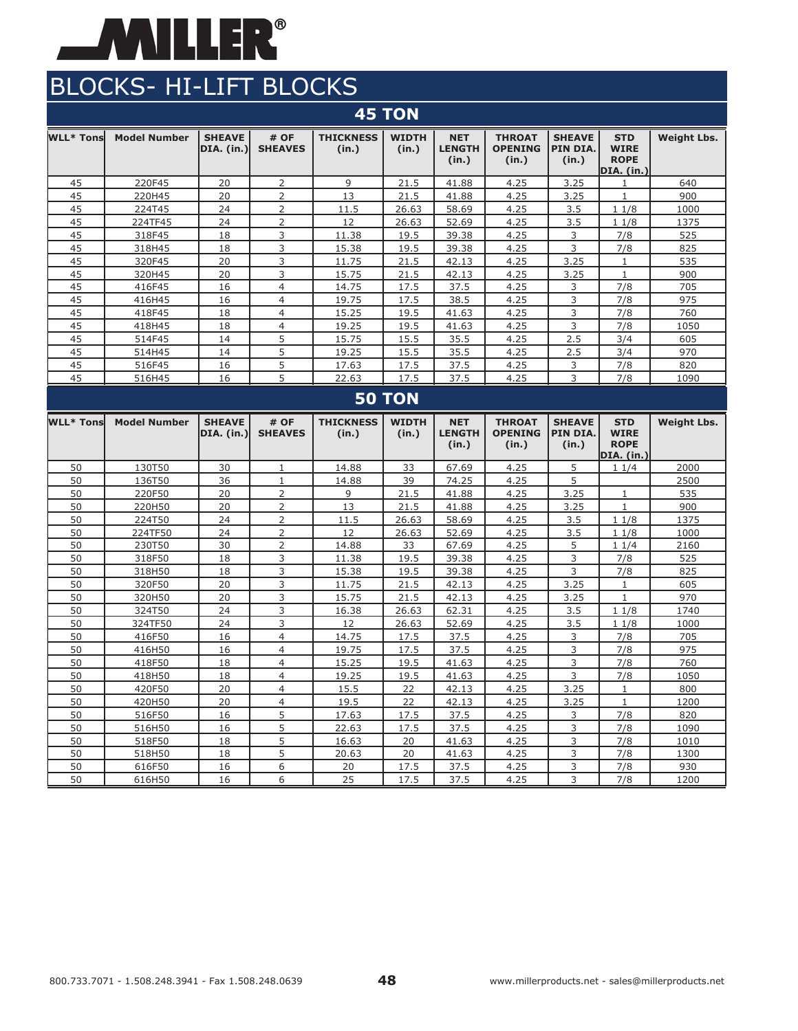

|                                                                                           | <b>45 TON</b>       |                              |                        |                           |                       |                                      |                                          |                                    |                                                        |                    |  |  |  |  |
|-------------------------------------------------------------------------------------------|---------------------|------------------------------|------------------------|---------------------------|-----------------------|--------------------------------------|------------------------------------------|------------------------------------|--------------------------------------------------------|--------------------|--|--|--|--|
| WLL* Tonsl                                                                                | <b>Model Number</b> | <b>SHEAVE</b><br> DIA. (in.) | # OF<br><b>SHEAVES</b> | <b>THICKNESS</b><br>(in.) | <b>WIDTH</b><br>(in.) | <b>NET</b><br><b>LENGTH</b><br>(in.) | <b>THROAT</b><br><b>OPENING</b><br>(in.) | <b>SHEAVE</b><br>PIN DIA.<br>(in.) | <b>STD</b><br><b>WIRE</b><br><b>ROPE</b><br>DIA. (in.) | <b>Weight Lbs.</b> |  |  |  |  |
| 45                                                                                        | 220F45              | 20                           | 2                      | 9                         | 21.5                  | 41.88                                | 4.25                                     | 3.25                               |                                                        | 640                |  |  |  |  |
| 45                                                                                        | 220H45              | 20                           | $\overline{2}$         | 13                        | 21.5                  | 41.88                                | 4.25                                     | 3.25                               | $\mathbf{1}$                                           | 900                |  |  |  |  |
| 2<br>45<br>24<br>11.5<br>26.63<br>58.69<br>224T45<br>4.25<br>3.5<br>11/8<br>1000          |                     |                              |                        |                           |                       |                                      |                                          |                                    |                                                        |                    |  |  |  |  |
| 2<br>45<br>24<br>224TF45<br>12<br>26.63<br>52.69<br>4.25<br>3.5<br>11/8<br>1375           |                     |                              |                        |                           |                       |                                      |                                          |                                    |                                                        |                    |  |  |  |  |
| 45                                                                                        | 318F45              | 18                           | 3                      | 11.38                     | 19.5                  | 39.38                                | 4.25                                     | 3                                  | 7/8                                                    | 525                |  |  |  |  |
| 45                                                                                        | 318H45              | 18                           | 3                      | 15.38                     | 19.5                  | 39.38                                | 4.25                                     | 3                                  | 7/8                                                    | 825                |  |  |  |  |
| 45                                                                                        | 320F45              | 20                           | 3                      | 11.75                     | 21.5                  | 42.13                                | 4.25                                     | 3.25                               | 1                                                      | 535                |  |  |  |  |
| 45                                                                                        | 320H45              | 20                           | 3                      | 15.75                     | 21.5                  | 42.13                                | 4.25                                     | 3.25                               | $\mathbf{1}$                                           | 900                |  |  |  |  |
| 45                                                                                        | 416F45              | 16                           | 4                      | 14.75                     | 17.5                  | 37.5                                 | 4.25                                     | 3                                  | 7/8                                                    | 705                |  |  |  |  |
| 45                                                                                        | 416H45              | 16                           | $\overline{4}$         | 19.75                     | 17.5                  | 38.5                                 | 4.25                                     | 3                                  | 7/8                                                    | 975                |  |  |  |  |
| 3<br>18<br>45<br>418F45<br>$\overline{4}$<br>15.25<br>19.5<br>41.63<br>4.25<br>7/8<br>760 |                     |                              |                        |                           |                       |                                      |                                          |                                    |                                                        |                    |  |  |  |  |
| 3<br>45<br>18<br>19.25<br>19.5<br>4.25<br>7/8<br>418H45<br>4<br>41.63<br>1050             |                     |                              |                        |                           |                       |                                      |                                          |                                    |                                                        |                    |  |  |  |  |
| 45                                                                                        | 514F45              | 14                           | 5                      | 15.75                     | 15.5                  | 35.5                                 | 4.25                                     | 2.5                                | 3/4                                                    | 605                |  |  |  |  |
| 45                                                                                        | 514H45              | 14                           | 5                      | 19.25                     | 15.5                  | 35.5                                 | 4.25                                     | 2.5                                | 3/4                                                    | 970                |  |  |  |  |
| 45                                                                                        | 516F45              | 16                           | 5                      | 17.63                     | 17.5                  | 37.5                                 | 4.25                                     | 3                                  | 7/8                                                    | 820                |  |  |  |  |
| 45                                                                                        | 516H45              | 16                           | 5                      | 22.63                     | 17.5                  | 37.5                                 | 4.25                                     | 3                                  | 7/8                                                    | 1090               |  |  |  |  |
|                                                                                           |                     |                              |                        |                           | <b>50 TON</b>         |                                      |                                          |                                    |                                                        |                    |  |  |  |  |

#### **WLL\* Tons Model Number SHEAVE DIA. (in.) # OF SHEAVES THICKNESS (in.) WIDTH (in.) NET LENGTH (in.) THROAT OPENING (in.) SHEAVE PIN DIA. (in.) STD WIRE ROPE DIA. (in.) Weight Lbs.** 50 130T50 30 1 14.88 33 67.69 4.25 5 1 1/4 2000 50 | 136T50 | 36 | 1 | 14.88 | 39 | 74.25 | 4.25 | 5 | | | | 2500 50 220F50 20 2 9 21.5 41.88 4.25 3.25 1 535 50 220H50 20 2 13 21.5 41.88 4.25 3.25 1 900 50 224T50 24 2 11.5 26.63 58.69 4.25 3.5 1 1/8 1375 50 224TF50 24 2 12 26.63 52.69 4.25 3.5 1 1/8 1000 50 230T50 30 2 14.88 33 67.69 4.25 5 1 1/4 2160 50 | 318F50 | 18 | 3 | 11.38 | 19.5 | 39.38 | 4.25 | 3 | 7/8 | 525 50 | 318H50 | 18 | 3 | 15.38 | 19.5 | 39.38 | 4.25 | 3 | 7/8 | 825 50 320F50 20 3 11.75 21.5 42.13 4.25 3.25 1 605 50 320H50 20 3 15.75 21.5 42.13 4.25 3.25 1 970 50 324T50 24 3 16.38 26.63 62.31 4.25 3.5 1 1/8 1740 50 324TF50 24 3 12 26.63 52.69 4.25 3.5 1 1/8 1000 50 | 416F50 | 16 | 4 | 14.75 | 17.5 | 37.5 | 4.25 | 3 | 7/8 | 705 50 | 416H50 | 16 | 4 | 19.75 | 17.5 | 37.5 | 4.25 | 3 | 7/8 | 975 50 418F50 18 4 15.25 19.5 41.63 4.25 3 7/8 760 50 | 418H50 | 18 | 4 | 19.25 | 19.5 | 41.63 | 4.25 | 3 | 7/8 | 1050 50 420F50 20 4 15.5 22 42.13 4.25 3.25 1 800 50 420H50 20 4 19.5 22 42.13 4.25 3.25 1 1200 50 | 516F50 | 16 | 5 | 17.63 | 17.5 | 37.5 | 4.25 | 3 | 7/8 | 820 50 | 516H50 | 16 | 5 | 22.63 | 17.5 | 37.5 | 4.25 | 3 | 7/8 | 1090 50 518F50 18 5 16.63 20 41.63 4.25 3 7/8 1010 50 | 518H50 | 18 | 5 | 20.63 | 20 | 41.63 | 4.25 | 3 | 7/8 | 1300 50 616F50 16 6 30 17.5 37.5 4.25 3 7/8 930 50 616H50 16 6 25 17.5 37.5 4.25 3 7/8 1200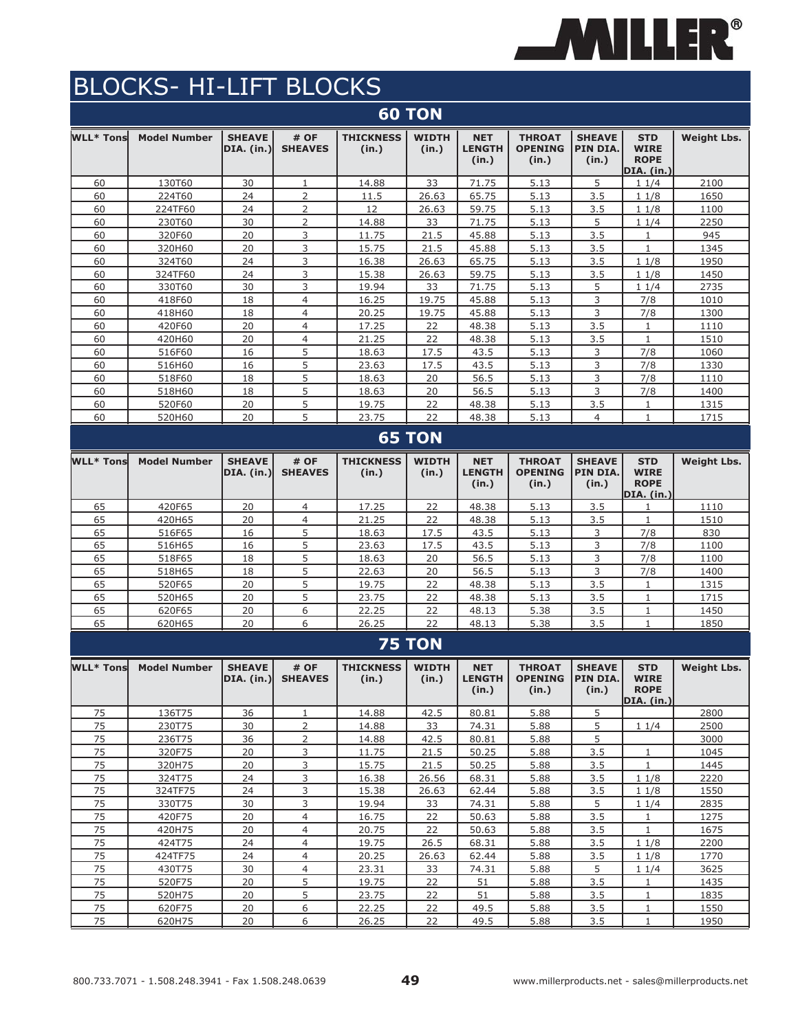

|                  |                     |                             |                         |                           | <b>60 TON</b>         |                                      |                                          |                                    |                                                               |                    |
|------------------|---------------------|-----------------------------|-------------------------|---------------------------|-----------------------|--------------------------------------|------------------------------------------|------------------------------------|---------------------------------------------------------------|--------------------|
| <b>WLL* Tons</b> | <b>Model Number</b> | <b>SHEAVE</b><br>DIA. (in.) | # OF<br><b>SHEAVES</b>  | <b>THICKNESS</b><br>(in.) | <b>WIDTH</b><br>(in.) | <b>NET</b><br><b>LENGTH</b><br>(in.) | <b>THROAT</b><br><b>OPENING</b><br>(in.) | <b>SHEAVE</b><br>PIN DIA.<br>(in.) | <b>STD</b><br><b>WIRE</b><br><b>ROPE</b><br><b>DIA.</b> (in.) | <b>Weight Lbs.</b> |
| 60               | 130T60              | 30                          | 1                       | 14.88                     | 33                    | 71.75                                | 5.13                                     | 5                                  | 11/4                                                          | 2100               |
| 60               | 224T60              | 24                          | $\overline{2}$          | 11.5                      | 26.63                 | 65.75                                | 5.13                                     | 3.5                                | 11/8                                                          | 1650               |
| 60               | 224TF60             | 24                          | 2                       | 12                        | 26.63                 | 59.75                                | 5.13                                     | 3.5                                | 11/8                                                          | 1100               |
| 60               | 230T60              | 30                          | 2                       | 14.88                     | 33                    | 71.75                                | 5.13                                     | 5                                  | 11/4                                                          | 2250               |
| 60               | 320F60              | 20                          | 3                       | 11.75                     | 21.5                  | 45.88                                | 5.13                                     | 3.5                                | $\mathbf{1}$                                                  | 945                |
| 60               | 320H60              | 20                          | 3                       | 15.75                     | 21.5                  | 45.88                                | 5.13                                     | 3.5                                | $\mathbf{1}$                                                  | 1345               |
| 60               | 324T60              | 24                          | 3                       | 16.38                     | 26.63                 | 65.75                                | 5.13                                     | 3.5                                | 11/8                                                          | 1950               |
| 60               | 324TF60             | 24                          | 3                       | 15.38                     | 26.63                 | 59.75                                | 5.13                                     | 3.5                                | 11/8                                                          | 1450               |
| 60               | 330T60              | 30                          | 3                       | 19.94                     | 33                    | 71.75                                | 5.13                                     | 5                                  | 11/4                                                          | 2735               |
| 60               | 418F60              | 18                          | 4                       | 16.25                     | 19.75                 | 45.88                                | 5.13                                     | 3                                  | 7/8                                                           | 1010               |
| 60               | 418H60              | 18                          | $\overline{4}$          | 20.25                     | 19.75                 | 45.88                                | 5.13                                     | 3                                  | 7/8                                                           | 1300               |
| 60               | 420F60              | 20                          | $\overline{4}$          | 17.25                     | 22                    | 48.38                                | 5.13                                     | 3.5                                | $\mathbf{1}$                                                  | 1110               |
| 60               | 420H60              | 20                          | $\overline{4}$          | 21.25                     | 22                    | 48.38                                | 5.13                                     | 3.5                                | $\mathbf{1}$                                                  | 1510               |
| 60               | 516F60              | 16                          | 5                       | 18.63                     | 17.5                  | 43.5                                 | 5.13                                     | 3                                  | 7/8                                                           | 1060               |
| 60               | 516H60              | 16                          | 5                       | 23.63                     | 17.5                  | 43.5                                 | 5.13                                     | 3                                  | 7/8                                                           | 1330               |
| 60               | 518F60              | 18                          | 5                       | 18.63                     | 20                    | 56.5                                 | 5.13                                     | 3                                  | 7/8                                                           | 1110               |
| 60               | 518H60              | 18                          | 5                       | 18.63                     | 20                    | 56.5                                 | 5.13                                     | 3                                  | 7/8                                                           | 1400               |
| 60               | 520F60              | 20                          | 5                       | 19.75                     | 22                    | 48.38                                | 5.13                                     | 3.5                                | $\mathbf{1}$                                                  | 1315               |
| 60               | 520H60              | 20                          | 5                       | 23.75                     | 22                    | 48.38                                | 5.13                                     | $\overline{4}$                     | 1                                                             | 1715               |
|                  |                     |                             |                         |                           | <b>65 TON</b>         |                                      |                                          |                                    |                                                               |                    |
| WLL* Tons        | <b>Model Number</b> | <b>SHEAVE</b><br>DIA. (in.) | # OF<br><b>SHEAVES</b>  | <b>THICKNESS</b><br>(in.) | <b>WIDTH</b><br>(in.) | <b>NET</b><br><b>LENGTH</b><br>(in.) | <b>THROAT</b><br><b>OPENING</b><br>(in.) | <b>SHEAVE</b><br>PIN DIA.<br>(in.) | <b>STD</b><br><b>WIRE</b><br><b>ROPE</b><br>DIA. (in.)        | <b>Weight Lbs.</b> |
| 65               | 420F65              | 20                          | 4                       | 17.25                     | 22                    | 48.38                                | 5.13                                     | 3.5                                | 1                                                             | 1110               |
| 65               | 420H65              | 20                          | 4                       | 21.25                     | 22                    | 48.38                                | 5.13                                     | 3.5                                | 1                                                             | 1510               |
| 65               | 516F65              | 16                          | 5                       | 18.63                     | 17.5                  | 43.5                                 | 5.13                                     | 3                                  | 7/8                                                           | 830                |
| 65               | 516H65              | 16                          | 5                       | 23.63                     | 17.5                  | 43.5                                 | 5.13                                     | 3                                  | 7/8                                                           | 1100               |
| 65               | 518F65              | 18                          | 5                       | 18.63                     | 20                    | 56.5                                 | 5.13                                     | 3                                  | 7/8                                                           | 1100               |
| 65               | 518H65              | 18                          | 5                       | 22.63                     | 20                    | 56.5                                 | 5.13                                     | 3                                  | 7/8                                                           | 1400               |
| 65               | 520F65              | 20                          | 5                       | 19.75                     | 22                    | 48.38                                | 5.13                                     | 3.5                                | $\mathbf{1}$                                                  | 1315               |
| 65               | 520H65              | 20                          | 5                       | 23.75                     | 22                    | 48.38                                | 5.13                                     | 3.5                                | 1                                                             | 1715               |
| 65               | 620F65              | 20                          | 6                       | 22.25                     | 22                    | 48.13                                | 5.38                                     | 3.5                                | $1\,$                                                         | 1450               |
| 65               | 620H65              | 20                          | 6                       | 26.25                     | 22                    | 48.13                                | 5.38                                     | 3.5                                | $\mathbf{1}$                                                  | 1850               |
|                  |                     |                             |                         |                           | <b>75 TON</b>         |                                      |                                          |                                    |                                                               |                    |
|                  |                     |                             |                         |                           |                       |                                      |                                          |                                    |                                                               |                    |
| <b>WLL* Tons</b> | <b>Model Number</b> | <b>SHEAVE</b><br>DIA. (in.) | # OF<br><b>SHEAVES</b>  | <b>THICKNESS</b><br>(in.) | <b>WIDTH</b><br>(in.) | <b>NET</b><br><b>LENGTH</b><br>(in.) | <b>THROAT</b><br><b>OPENING</b><br>(in.) | <b>SHEAVE</b><br>PIN DIA.<br>(in.) | <b>STD</b><br><b>WIRE</b><br><b>ROPE</b><br>DIA. (in.)        | <b>Weight Lbs.</b> |
| 75               | 136T75              | 36                          | $\mathbf{1}$            | 14.88                     | 42.5                  | 80.81                                | 5.88                                     | $\overline{5}$                     |                                                               | 2800               |
| 75               | 230T75              | 30                          | $\overline{2}$          | 14.88                     | 33                    | 74.31                                | 5.88                                     | 5                                  | 11/4                                                          | 2500               |
| 75               | 236T75              | 36                          | $\overline{2}$          | 14.88                     | 42.5                  | 80.81                                | 5.88                                     | 5                                  |                                                               | 3000               |
| 75               | 320F75              | 20                          | 3                       | 11.75                     | 21.5                  | 50.25                                | 5.88                                     | 3.5                                | $\mathbf{1}$                                                  | 1045               |
| 75               | 320H75              | 20                          | 3                       | 15.75                     | 21.5                  | 50.25                                | 5.88                                     | 3.5                                | $\mathbf{1}$                                                  | 1445               |
| 75               | 324T75              | 24                          | $\overline{\mathbf{3}}$ | 16.38                     | 26.56                 | 68.31                                | 5.88                                     | 3.5                                | 11/8                                                          | 2220               |
| 75               | 324TF75             | 24                          | 3                       | 15.38                     | 26.63                 | 62.44                                | 5.88                                     | 3.5                                | 11/8                                                          | 1550               |
| 75               | 330T75              | 30                          | 3                       | 19.94                     | 33                    | 74.31                                | 5.88                                     | 5                                  | 11/4                                                          | 2835               |
| 75               | 420F75              | 20                          | $\overline{4}$          | 16.75                     | 22                    | 50.63                                | 5.88                                     | 3.5                                | $\mathbf{1}$                                                  | 1275               |
| 75               | 420H75              | 20                          | $\overline{4}$          | 20.75                     | 22                    | 50.63                                | 5.88                                     | 3.5                                | $\mathbf{1}$                                                  | 1675               |
| 75               | 424T75              | 24                          | $\overline{4}$          | 19.75                     | 26.5                  | 68.31                                | 5.88                                     | 3.5                                | 11/8                                                          | 2200               |
| 75               | 424TF75             | 24                          | $\overline{4}$          | 20.25                     | 26.63                 | 62.44                                | 5.88                                     | 3.5                                | 11/8                                                          | 1770               |
| 75               | 430T75              | 30                          | $\overline{4}$          | 23.31                     | 33                    | 74.31                                | 5.88                                     | 5                                  | 11/4                                                          | 3625               |
| 75               | 520F75              | 20                          | 5                       | 19.75                     | 22                    | 51                                   | 5.88                                     | 3.5                                | $\mathbf{1}$                                                  | 1435               |
| 75               | 520H75              | 20                          | 5                       | 23.75                     | 22                    | 51                                   | 5.88                                     | 3.5                                | $\mathbf{1}$                                                  | 1835               |
| 75               | 620F75              | 20                          | 6                       | 22.25                     | 22                    | 49.5                                 | 5.88                                     | 3.5                                | $\mathbf{1}$                                                  | 1550               |
| 75               | 620H75              | 20                          | 6                       | 26.25                     | 22                    | 49.5                                 | 5.88                                     | 3.5                                | $\mathbf{1}$                                                  | 1950               |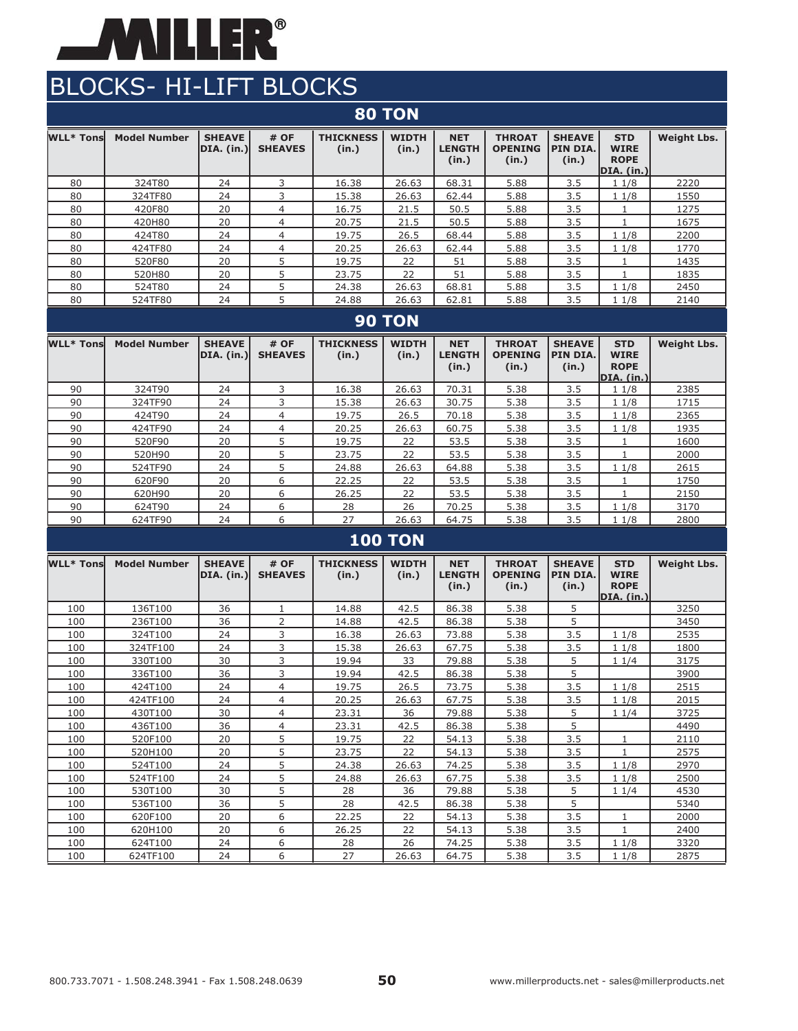

| <b>80 TON</b>    |                     |                                    |                        |                           |                       |                                      |                                          |                                    |                                                        |                    |  |  |
|------------------|---------------------|------------------------------------|------------------------|---------------------------|-----------------------|--------------------------------------|------------------------------------------|------------------------------------|--------------------------------------------------------|--------------------|--|--|
| <b>WLL* Tons</b> | <b>Model Number</b> | <b>SHEAVE</b><br><b>DIA.</b> (in.) | # OF<br><b>SHEAVES</b> | <b>THICKNESS</b><br>(in.) | <b>WIDTH</b><br>(in.) | <b>NET</b><br><b>LENGTH</b><br>(in.) | <b>THROAT</b><br><b>OPENING</b><br>(in.) | <b>SHEAVE</b><br>PIN DIA.<br>(in.) | <b>STD</b><br><b>WIRE</b><br><b>ROPE</b><br>DIA. (in.) | <b>Weight Lbs.</b> |  |  |
| 80               | 324T80              | 24                                 | 3                      | 16.38                     | 26.63                 | 68.31                                | 5.88                                     | 3.5                                | 11/8                                                   | 2220               |  |  |
| 80               | 324TF80             | 24                                 | 3                      | 15.38                     | 26.63                 | 62.44                                | 5.88                                     | 3.5                                | 11/8                                                   | 1550               |  |  |
| 80               | 420F80              | 20                                 | $\overline{4}$         | 16.75                     | 21.5                  | 50.5                                 | 5.88                                     | 3.5                                | 1                                                      | 1275               |  |  |
| 80               | 420H80              | 20                                 | 4                      | 20.75                     | 21.5                  | 50.5                                 | 5.88                                     | 3.5                                | $\mathbf{1}$                                           | 1675               |  |  |
| 80               | 424T80              | 24                                 | $\overline{4}$         | 19.75                     | 26.5                  | 68.44                                | 5.88                                     | 3.5                                | 11/8                                                   | 2200               |  |  |
| 80               | 424TF80             | 24                                 | $\overline{4}$         | 20.25                     | 26.63                 | 62.44                                | 5.88                                     | 3.5                                | 11/8                                                   | 1770               |  |  |
| 80               | 520F80              | 20                                 | 5                      | 19.75                     | 22                    | 51                                   | 5.88                                     | 3.5                                | 1                                                      | 1435               |  |  |
| 80               | 520H80              | 20                                 | 5                      | 23.75                     | 22                    | 51                                   | 5.88                                     | 3.5                                | 1                                                      | 1835               |  |  |
| 80               | 524T80              | 24                                 | 5                      | 24.38                     | 26.63                 | 68.81                                | 5.88                                     | 3.5                                | 11/8                                                   | 2450               |  |  |
| 80               | 524TF80             | 24                                 | 5                      | 24.88                     | 26.63                 | 62.81                                | 5.88                                     | 3.5                                | 11/8                                                   | 2140               |  |  |
| <b>90 TON</b>    |                     |                                    |                        |                           |                       |                                      |                                          |                                    |                                                        |                    |  |  |
|                  |                     |                                    |                        |                           |                       |                                      |                                          |                                    |                                                        |                    |  |  |
| <b>WLL* Tons</b> | <b>Model Number</b> | <b>SHEAVE</b><br><b>DIA.</b> (in.) | # OF<br><b>SHEAVES</b> | <b>THICKNESS</b><br>(in.) | <b>WIDTH</b><br>(in.) | <b>NET</b><br><b>LENGTH</b><br>(in.) | <b>THROAT</b><br><b>OPENING</b><br>(in.) | <b>SHEAVE</b><br>PIN DIA.<br>(in.) | <b>STD</b><br><b>WIRE</b><br><b>ROPE</b>               | <b>Weight Lbs.</b> |  |  |
| 90               | 324T90              | 24                                 | 3                      | 16.38                     | 26.63                 | 70.31                                | 5.38                                     | 3.5                                | DIA. (in.)<br>11/8                                     | 2385               |  |  |
| 90               | 324TF90             | 24                                 | 3                      | 15.38                     | 26.63                 | 30.75                                | 5.38                                     | 3.5                                | 11/8                                                   | 1715               |  |  |
| 90               | 424T90              | 24                                 | $\overline{4}$         | 19.75                     | 26.5                  | 70.18                                | 5.38                                     | 3.5                                | 11/8                                                   | 2365               |  |  |
| 90               | 424TF90             | 24                                 | $\overline{4}$         | 20.25                     | 26.63                 | 60.75                                | 5.38                                     | 3.5                                | 11/8                                                   | 1935               |  |  |
| 90               | 520F90              | 20                                 | 5                      | 19.75                     | 22                    | 53.5                                 | 5.38                                     | 3.5                                | $\mathbf{1}$                                           | 1600               |  |  |
| 90               | 520H90              | 20                                 | 5                      | 23.75                     | 22                    | 53.5                                 | 5.38                                     | 3.5                                | $\mathbf{1}$                                           | 2000               |  |  |
| 90               | 524TF90             | 24                                 | 5                      | 24.88                     | 26.63                 | 64.88                                | 5.38                                     | 3.5                                | 11/8                                                   | 2615               |  |  |
| 90               | 620F90              | 20                                 | 6                      | 22.25                     | 22                    | 53.5                                 | 5.38                                     | 3.5                                | 1                                                      | 1750               |  |  |
| 90               | 620H90              | 20                                 | 6                      | 26.25                     | 22                    | 53.5                                 | 5.38                                     | 3.5                                | 1                                                      | 2150               |  |  |
| 90               | 624T90              | 24                                 | 6                      | 28                        | 26                    | 70.25                                | 5.38                                     | 3.5                                | 11/8                                                   | 3170               |  |  |
| 90               | 624TF90             | 24                                 | 6                      | 27                        | 26.63                 | 64.75                                | 5.38                                     | 3.5                                | 11/8                                                   | 2800               |  |  |

#### **WLL\* Tons Model Number SHEAVE DIA. (in.) # OF SHEAVES THICKNESS (in.) WIDTH (in.) NET LENGTH (in.) THROAT OPENING (in.) SHEAVE PIN DIA. (in.) STD WIRE ROPE DIA. (in.) Weight Lbs.** 100 | 136T100 | 36 | 1 | 14.88 | 42.5 | 86.38 | 5.38 | 5 | | | | | | | | 3250 100 236T100 36 2 14.88 42.5 86.38 5.38 5 3450 100 | 324T100 | 24 | 3 | 16.38 | 26.63 | 73.88 | 5.38 | 3.5 | 1 1/8 | 2535 100 324TF100 24 3 15.38 26.63 67.75 5.38 3.5 1 1/8 1800 100 330T100 30 30 19.94 33 79.88 5.38 5 1 1/4 3175 100 | 336T100 | 36 | 3 | 19.94 | 42.5 | 86.38 | 5.38 | 5 | | | | | 3900 100 424T100 424 4 19.75 26.5 73.75 5.38 3.5 1 1/8 2515 100 424TF100 24 4 20.25 26.63 67.75 5.38 3.5 1 1/8 2015 100 | 430T100 | 30 | 4 | 23.31 | 36 | 79.88 | 5.38 | 5 | 1 1/4 | 3725 100 436T100 36 4 23.31 42.5 86.38 5.38 5 4 4490 100 | 520F100 | 20 | 5 | 19.75 | 22 | 54.13 | 5.38 | 3.5 | 1 | 2110 100 | 520H100 | 20 | 5 | 23.75 | 22 | 54.13 | 5.38 | 3.5 | 1 | 2575 100 | 524T100 | 24 | 5 | 24.38 | 26.63 | 74.25 | 5.38 | 3.5 | 1 $1/8$  | 2970 100 | 524TF100 | 24 | 5 | 24.88 | 26.63 | 67.75 | 5.38 | 3.5 | 1 1/8 | 2500 100 | 530T100 | 30 | 5 | 28 | 36 | 79.88 | 5.38 | 5 | 1 1/4 | 4530 100 | 536T100 | 36 | 5 | 28 | 42.5 | 86.38 | 5.38 | 5 | | 5340 100 620F100 20 6 22.25 22 54.13 5.38 3.5 1 2000 100 620H100 | 20 | 6 | 26.25 | 22 | 54.13 | 5.38 | 3.5 | 1 | 2400 100 624T100 424 6 28 26 74.25 5.38 3.5 1 1/8 3320 100 624TF100 24 6 27 26.63 64.75 5.38 3.5 1 1/8 2875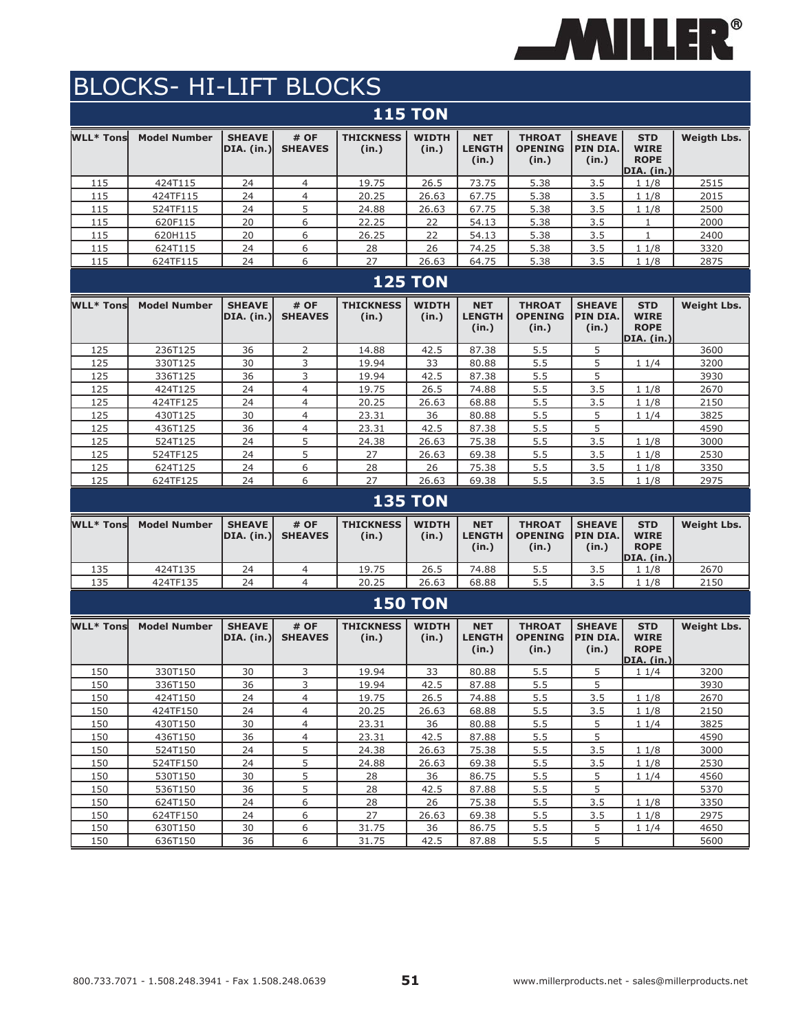

|                  |                     |                             |                        |                           | <b>115 TON</b>        |                                      |                                          |                                    |                                                               |                    |
|------------------|---------------------|-----------------------------|------------------------|---------------------------|-----------------------|--------------------------------------|------------------------------------------|------------------------------------|---------------------------------------------------------------|--------------------|
| <b>WLL* Tons</b> | <b>Model Number</b> | <b>SHEAVE</b><br>DIA. (in.) | # OF<br><b>SHEAVES</b> | <b>THICKNESS</b><br>(in.) | <b>WIDTH</b><br>(in.) | <b>NET</b><br><b>LENGTH</b><br>(in.) | <b>THROAT</b><br><b>OPENING</b><br>(in.) | <b>SHEAVE</b><br>PIN DIA.<br>(in.) | <b>STD</b><br><b>WIRE</b><br><b>ROPE</b><br><b>DIA.</b> (in.) | <b>Weigth Lbs.</b> |
| 115              | 424T115             | 24                          | 4                      | 19.75                     | 26.5                  | 73.75                                | 5.38                                     | 3.5                                | 11/8                                                          | 2515               |
| 115              | 424TF115            | 24                          | $\overline{4}$         | 20.25                     | 26.63                 | 67.75                                | 5.38                                     | 3.5                                | 11/8                                                          | 2015               |
| 115              | 524TF115            | 24                          | 5                      | 24.88                     | 26.63                 | 67.75                                | 5.38                                     | 3.5                                | 11/8                                                          | 2500               |
| 115              | 620F115             | 20                          | 6                      | 22.25                     | 22                    | 54.13                                | 5.38                                     | 3.5                                | 1                                                             | 2000               |
| 115              | 620H115             | 20                          | 6                      | 26.25                     | 22                    | 54.13                                | 5.38                                     | 3.5                                | $\mathbf{1}$                                                  | 2400               |
| 115              | 624T115             | 24                          | 6                      | 28                        | 26                    | 74.25                                | 5.38                                     | 3.5                                | 11/8                                                          | 3320               |
| 115              | 624TF115            | 24                          | 6                      | 27                        | 26.63                 | 64.75                                | 5.38                                     | 3.5                                | 11/8                                                          | 2875               |
|                  |                     |                             |                        |                           | <b>125 TON</b>        |                                      |                                          |                                    |                                                               |                    |
| <b>WLL* Tons</b> | <b>Model Number</b> | <b>SHEAVE</b><br>DIA. (in.) | # OF<br><b>SHEAVES</b> | <b>THICKNESS</b><br>(in.) | <b>WIDTH</b><br>(in.) | <b>NET</b><br><b>LENGTH</b><br>(in.) | <b>THROAT</b><br><b>OPENING</b><br>(in.) | <b>SHEAVE</b><br>PIN DIA.<br>(in.) | <b>STD</b><br><b>WIRE</b><br><b>ROPE</b><br><b>DIA.</b> (in.) | <b>Weight Lbs.</b> |
| 125              | 236T125             | 36                          | 2                      | 14.88                     | 42.5                  | 87.38                                | 5.5                                      | 5                                  |                                                               | 3600               |
| 125              | 330T125             | 30                          | 3                      | 19.94                     | 33                    | 80.88                                | 5.5                                      | 5                                  | 11/4                                                          | 3200               |
| 125              | 336T125             | 36                          | 3                      | 19.94                     | 42.5                  | 87.38                                | 5.5                                      | 5                                  |                                                               | 3930               |
| 125              | 424T125             | 24                          | $\overline{4}$         | 19.75                     | 26.5                  | 74.88                                | 5.5                                      | 3.5                                | 11/8                                                          | 2670               |
| 125              | 424TF125            | 24                          | $\overline{4}$         | 20.25                     | 26.63                 | 68.88                                | 5.5                                      | 3.5                                | 11/8                                                          | 2150               |
| 125              | 430T125             | 30                          | $\overline{4}$         | 23.31                     | 36                    | 80.88                                | 5.5                                      | 5                                  | 11/4                                                          | 3825               |
| 125              | 436T125             | 36                          | $\overline{4}$         | 23.31                     | 42.5                  | 87.38                                | 5.5                                      | 5                                  |                                                               | 4590               |
| 125              | 524T125             | 24                          | 5                      | 24.38                     | 26.63                 | 75.38                                | 5.5                                      | 3.5                                | 11/8                                                          | 3000               |
| 125              | 524TF125            | 24                          | 5                      | 27                        | 26.63                 | 69.38                                | 5.5                                      | 3.5                                | 11/8                                                          | 2530               |
| 125              | 624T125             | 24                          | 6                      | 28                        | 26                    | 75.38                                | 5.5                                      | 3.5                                | 11/8                                                          | 3350               |
| 125              | 624TF125            | 24                          | 6                      | 27                        | 26.63                 | 69.38                                | 5.5                                      | 3.5                                | 11/8                                                          | 2975               |
|                  |                     |                             |                        |                           | <b>135 TON</b>        |                                      |                                          |                                    |                                                               |                    |
| <b>WLL* Tons</b> | <b>Model Number</b> | <b>SHEAVE</b><br>DIA. (in.) | # OF<br><b>SHEAVES</b> | <b>THICKNESS</b><br>(in.) | <b>WIDTH</b><br>(in.) | <b>NET</b><br><b>LENGTH</b><br>(in.) | <b>THROAT</b><br><b>OPENING</b><br>(in.) | <b>SHEAVE</b><br>PIN DIA.<br>(in.) | <b>STD</b><br><b>WIRE</b><br><b>ROPE</b><br><b>DIA.</b> (in.) | <b>Weight Lbs.</b> |
| 135              | 424T135             | 24                          | 4                      | 19.75                     | 26.5                  | 74.88                                | 5.5                                      | 3.5                                | 11/8                                                          | 2670               |
| 135              | 424TF135            | 24                          | $\overline{4}$         | 20.25                     | 26.63                 | 68.88                                | 5.5                                      | 3.5                                | 11/8                                                          | 2150               |
|                  |                     |                             |                        |                           | <b>150 TON</b>        |                                      |                                          |                                    |                                                               |                    |
| <b>WLL* Tons</b> | <b>Model Number</b> | <b>SHEAVE</b><br>DIA. (in.) | # OF<br><b>SHEAVES</b> | <b>THICKNESS</b><br>(in.) | <b>WIDTH</b><br>(in.) | <b>NET</b><br><b>LENGTH</b><br>(in.) | <b>THROAT</b><br><b>OPENING</b><br>(in.) | <b>SHEAVE</b><br>PIN DIA.<br>(in.) | <b>STD</b><br><b>WIRE</b><br><b>ROPE</b><br>DIA. (in.)        | <b>Weight Lbs.</b> |
| 150              | 330T150             | 30                          | 3                      | 19.94                     | 33                    | 80.88                                | 5.5                                      | 5                                  | 11/4                                                          | 3200               |
| 150              | 336T150             | 36                          | 3                      | 19.94                     | 42.5                  | 87.88                                | 5.5                                      | 5                                  |                                                               | 3930               |
| 150              | 424T150             | 24                          | $\overline{4}$         | 19.75                     | 26.5                  | 74.88                                | 5.5                                      | 3.5                                | 11/8                                                          | 2670               |
| 150              | 424TF150            | 24                          | $\overline{4}$         | 20.25                     | 26.63                 | 68.88                                | 5.5                                      | 3.5                                | 11/8                                                          | 2150               |
| 150              | 430T150             | 30                          | $\overline{4}$         | 23.31                     | 36                    | 80.88                                | 5.5                                      | 5                                  | 11/4                                                          | 3825               |
| 150              | 436T150             | 36                          | $\overline{4}$         | 23.31                     | 42.5                  | 87.88                                | 5.5                                      | 5                                  |                                                               | 4590               |
| 150<br>150       | 524T150             | 24<br>24                    | $5\overline{)}$<br>5   | 24.38                     | 26.63<br>26.63        | 75.38<br>69.38                       | 5.5                                      | 3.5                                | 11/8                                                          | 3000<br>2530       |
|                  | 524TF150<br>530T150 |                             | 5                      | 24.88                     |                       | 86.75                                | 5.5                                      | 3.5                                | 11/8                                                          |                    |
| 150<br>150       | 536T150             | 30<br>36                    | $5\overline{)}$        | 28<br>28                  | 36<br>42.5            | 87.88                                | 5.5<br>5.5                               | 5<br>$5\overline{)}$               | 11/4                                                          | 4560<br>5370       |
| 150              | 624T150             | 24                          | 6                      | 28                        | 26                    | 75.38                                | 5.5                                      | 3.5                                | 11/8                                                          | 3350               |
| 150              | 624TF150            | 24                          | 6                      | 27                        | 26.63                 | 69.38                                | 5.5                                      | 3.5                                | 11/8                                                          | 2975               |
| 150              | 630T150             | 30                          | 6                      | 31.75                     | 36                    | 86.75                                | 5.5                                      | 5                                  | 11/4                                                          | 4650               |
| 150              | 636T150             | 36                          | 6                      | 31.75                     | 42.5                  | 87.88                                | 5.5                                      | 5                                  |                                                               | 5600               |